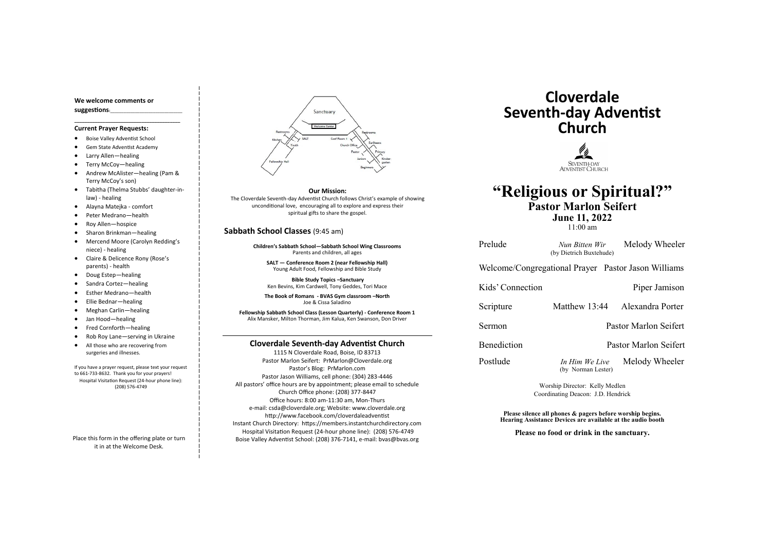#### **Cloverdale Seventh-day Adventist Church**

1115 N Cloverdale Road, Boise, ID 83713 Pastor Marlon Seifert: PrMarlon@Cloverdale.org Pastor's Blog: PrMarlon.com Pastor Jason Williams, cell phone: (304) 283-4446 All pastors' office hours are by appointment; please email to schedule Church Office phone: (208) 377-8447 Office hours: 8:00 am-11:30 am, Mon-Thurs e-mail: csda@cloverdale.org; Website: www.cloverdale.org http://www.facebook.com/cloverdaleadventist Instant Church Directory: https://members.instantchurchdirectory.com Hospital Visitation Request (24-hour phone line): (208) 576-4749 Boise Valley Adventist School: (208) 376-7141, e-mail: bvas@bvas.org

#### **We welcome comments or suggestions:**\_\_\_\_\_\_\_\_\_\_\_\_\_\_\_\_\_\_\_\_\_\_\_\_\_\_\_\_\_\_\_\_

**\_\_\_\_\_\_\_\_\_\_\_\_\_\_\_\_\_\_\_\_\_\_\_\_\_\_\_\_\_\_\_\_\_\_\_\_\_\_\_\_\_**

#### **Current Prayer Requests:**

- Boise Valley Adventist School
- Gem State Adventist Academy
- Larry Allen—healing
- Terry McCoy—healing
- Andrew McAlister—healing (Pam & Terry McCoy's son)

- Tabitha (Thelma Stubbs' daughter-inlaw) - healing
- Alayna Matejka comfort
- Peter Medrano—health
- Roy Allen—hospice
- Sharon Brinkman—healing
- Mercend Moore (Carolyn Redding's niece) - healing
- Claire & Delicence Rony (Rose's parents) - health
- Doug Estep—healing
- Sandra Cortez—healing
- Esther Medrano—health
- Ellie Bednar—healing
- Meghan Carlin—healing
- Jan Hood—healing
- Fred Cornforth—healing
- Rob Roy Lane—serving in Ukraine
- All those who are recovering from surgeries and illnesses.

Postlude *In Him We Live* Melody Wheeler (by Norman Lester)

If you have a prayer request, please text your request to 661-733-8632. Thank you for your prayers! Hospital Visitation Request (24-hour phone line): (208) 576-4749

Place this form in the offering plate or turn it in at the Welcome Desk.



#### **Sabbath School Classes** (9:45 am)

**Children's Sabbath School—Sabbath School Wing Classrooms** Parents and children, all ages

**SALT — Conference Room 2 (near Fellowship Hall)** Young Adult Food, Fellowship and Bible Study

**Bible Study Topics –Sanctuary** Ken Bevins, Kim Cardwell, Tony Geddes, Tori Mace

**The Book of Romans - BVAS Gym classroom –North** Joe & Cissa Saladino

**Fellowship Sabbath School Class (Lesson Quarterly) - Conference Room 1** Alix Mansker, Milton Thorman, Jim Kalua, Ken Swanson, Don Driver

## **Cloverdale Seventh-day Adventist Church**



## **"Religious or Spiritual?" Pastor Marlon Seifert June 11, 2022**

11:00 am

Prelude *Nun Bitten Wir* Melody Wheeler (by Dietrich Buxtehude)

Scripture Matthew 13:44 Alexandra Porter

Welcome/Congregational Prayer Pastor Jason Williams

Kids' Connection Piper Jamison

Sermon Pastor Marlon Seifert

Benediction Pastor Marlon Seifert

Worship Director: Kelly Medlen Coordinating Deacon: J.D. Hendrick

**Please silence all phones & pagers before worship begins. Hearing Assistance Devices are available at the audio booth**

**Please no food or drink in the sanctuary.**

**Our Mission:**

The Cloverdale Seventh-day Adventist Church follows Christ's example of showing unconditional love, encouraging all to explore and express their spiritual gifts to share the gospel.